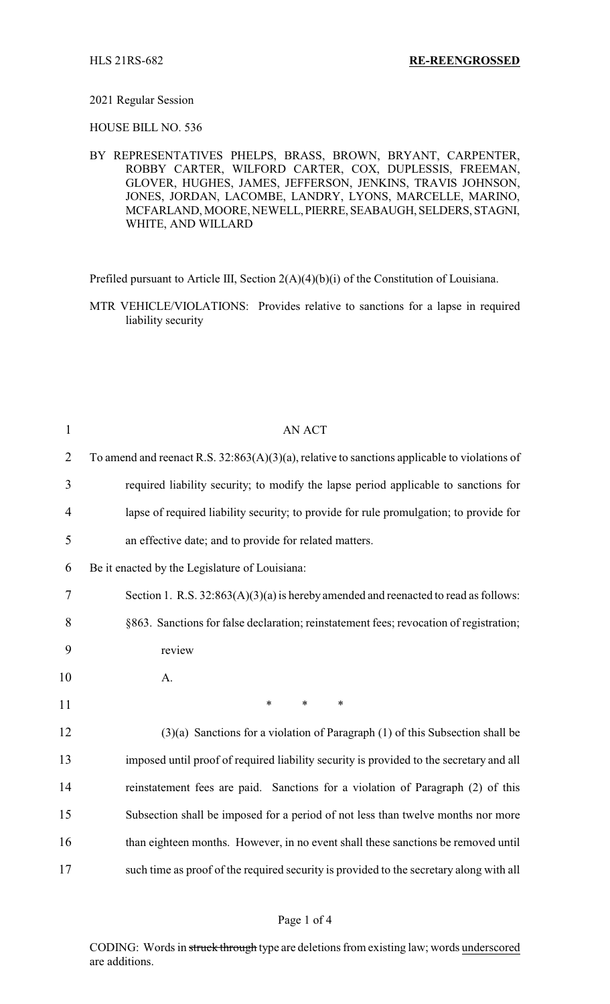## 2021 Regular Session

HOUSE BILL NO. 536

BY REPRESENTATIVES PHELPS, BRASS, BROWN, BRYANT, CARPENTER, ROBBY CARTER, WILFORD CARTER, COX, DUPLESSIS, FREEMAN, GLOVER, HUGHES, JAMES, JEFFERSON, JENKINS, TRAVIS JOHNSON, JONES, JORDAN, LACOMBE, LANDRY, LYONS, MARCELLE, MARINO, MCFARLAND, MOORE, NEWELL,PIERRE, SEABAUGH, SELDERS, STAGNI, WHITE, AND WILLARD

Prefiled pursuant to Article III, Section 2(A)(4)(b)(i) of the Constitution of Louisiana.

MTR VEHICLE/VIOLATIONS: Provides relative to sanctions for a lapse in required liability security

| $\mathbf{1}$   | <b>AN ACT</b>                                                                                   |  |
|----------------|-------------------------------------------------------------------------------------------------|--|
| $\overline{2}$ | To amend and reenact R.S. $32:863(A)(3)(a)$ , relative to sanctions applicable to violations of |  |
| 3              | required liability security; to modify the lapse period applicable to sanctions for             |  |
| 4              | lapse of required liability security; to provide for rule promulgation; to provide for          |  |
| 5              | an effective date; and to provide for related matters.                                          |  |
| 6              | Be it enacted by the Legislature of Louisiana:                                                  |  |
| $\overline{7}$ | Section 1. R.S. $32:863(A)(3)(a)$ is hereby amended and reenacted to read as follows:           |  |
| 8              | §863. Sanctions for false declaration; reinstatement fees; revocation of registration;          |  |
| 9              | review                                                                                          |  |
| 10             | A.                                                                                              |  |
| 11             | $\ast$<br>$\ast$<br>$\ast$                                                                      |  |
| 12             | $(3)(a)$ Sanctions for a violation of Paragraph $(1)$ of this Subsection shall be               |  |
| 13             | imposed until proof of required liability security is provided to the secretary and all         |  |
| 14             | reinstatement fees are paid. Sanctions for a violation of Paragraph (2) of this                 |  |
| 15             | Subsection shall be imposed for a period of not less than twelve months nor more                |  |
| 16             | than eighteen months. However, in no event shall these sanctions be removed until               |  |
| 17             | such time as proof of the required security is provided to the secretary along with all         |  |

CODING: Words in struck through type are deletions from existing law; words underscored are additions.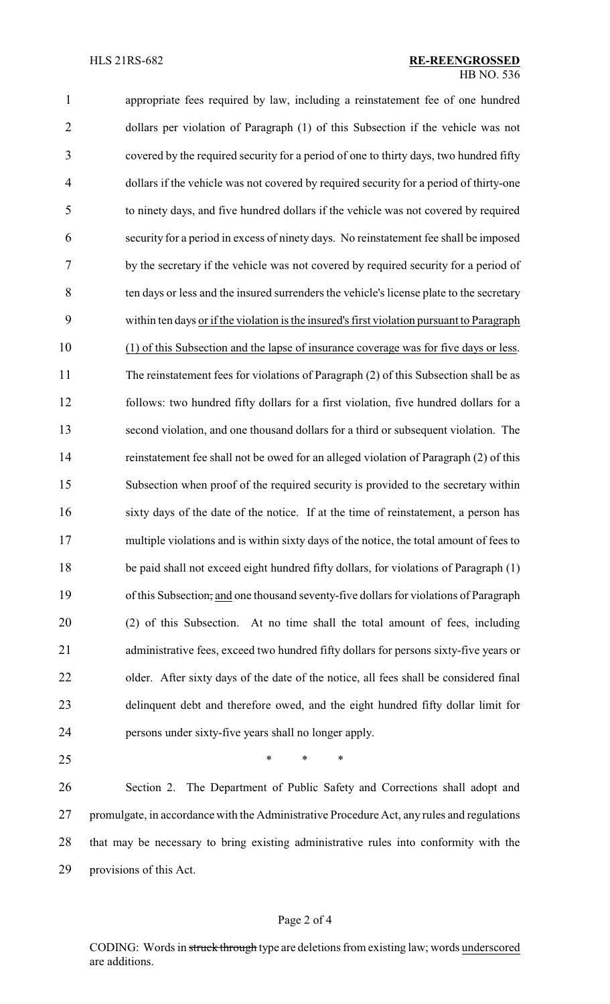appropriate fees required by law, including a reinstatement fee of one hundred dollars per violation of Paragraph (1) of this Subsection if the vehicle was not covered by the required security for a period of one to thirty days, two hundred fifty dollars if the vehicle was not covered by required security for a period of thirty-one to ninety days, and five hundred dollars if the vehicle was not covered by required security for a period in excess of ninety days. No reinstatement fee shall be imposed by the secretary if the vehicle was not covered by required security for a period of ten days or less and the insured surrenders the vehicle's license plate to the secretary within ten days or if the violation is the insured's first violation pursuant to Paragraph (1) of this Subsection and the lapse of insurance coverage was for five days or less. The reinstatement fees for violations of Paragraph (2) of this Subsection shall be as follows: two hundred fifty dollars for a first violation, five hundred dollars for a second violation, and one thousand dollars for a third or subsequent violation. The reinstatement fee shall not be owed for an alleged violation of Paragraph (2) of this Subsection when proof of the required security is provided to the secretary within sixty days of the date of the notice. If at the time of reinstatement, a person has 17 multiple violations and is within sixty days of the notice, the total amount of fees to 18 be paid shall not exceed eight hundred fifty dollars, for violations of Paragraph (1) of this Subsection, and one thousand seventy-five dollars for violations of Paragraph (2) of this Subsection. At no time shall the total amount of fees, including administrative fees, exceed two hundred fifty dollars for persons sixty-five years or 22 older. After sixty days of the date of the notice, all fees shall be considered final delinquent debt and therefore owed, and the eight hundred fifty dollar limit for persons under sixty-five years shall no longer apply.  $*$  \* \* \*

 Section 2. The Department of Public Safety and Corrections shall adopt and promulgate, in accordance with the Administrative Procedure Act, any rules and regulations that may be necessary to bring existing administrative rules into conformity with the provisions of this Act.

## Page 2 of 4

CODING: Words in struck through type are deletions from existing law; words underscored are additions.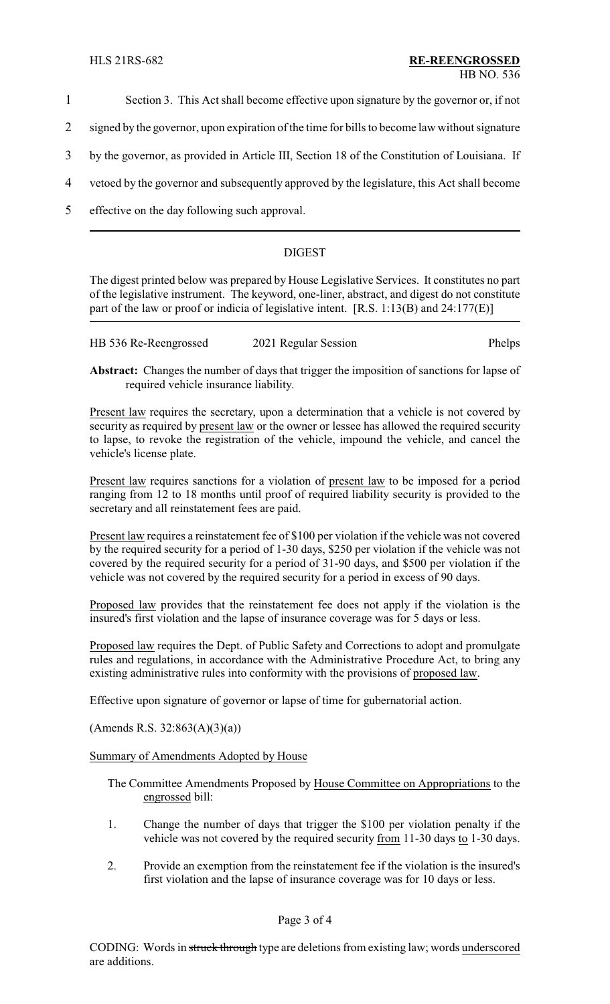- 1 Section 3. This Act shall become effective upon signature by the governor or, if not
- 2 signed by the governor, upon expiration of the time for bills to become law without signature
- 3 by the governor, as provided in Article III, Section 18 of the Constitution of Louisiana. If
- 4 vetoed by the governor and subsequently approved by the legislature, this Act shall become
- 5 effective on the day following such approval.

## DIGEST

The digest printed below was prepared by House Legislative Services. It constitutes no part of the legislative instrument. The keyword, one-liner, abstract, and digest do not constitute part of the law or proof or indicia of legislative intent. [R.S. 1:13(B) and 24:177(E)]

| HB 536 Re-Reengrossed | 2021 Regular Session | Phelps |
|-----------------------|----------------------|--------|
|                       |                      |        |

**Abstract:** Changes the number of days that trigger the imposition of sanctions for lapse of required vehicle insurance liability.

Present law requires the secretary, upon a determination that a vehicle is not covered by security as required by present law or the owner or lessee has allowed the required security to lapse, to revoke the registration of the vehicle, impound the vehicle, and cancel the vehicle's license plate.

Present law requires sanctions for a violation of present law to be imposed for a period ranging from 12 to 18 months until proof of required liability security is provided to the secretary and all reinstatement fees are paid.

Present law requires a reinstatement fee of \$100 per violation if the vehicle was not covered by the required security for a period of 1-30 days, \$250 per violation if the vehicle was not covered by the required security for a period of 31-90 days, and \$500 per violation if the vehicle was not covered by the required security for a period in excess of 90 days.

Proposed law provides that the reinstatement fee does not apply if the violation is the insured's first violation and the lapse of insurance coverage was for 5 days or less.

Proposed law requires the Dept. of Public Safety and Corrections to adopt and promulgate rules and regulations, in accordance with the Administrative Procedure Act, to bring any existing administrative rules into conformity with the provisions of proposed law.

Effective upon signature of governor or lapse of time for gubernatorial action.

(Amends R.S. 32:863(A)(3)(a))

Summary of Amendments Adopted by House

The Committee Amendments Proposed by House Committee on Appropriations to the engrossed bill:

- 1. Change the number of days that trigger the \$100 per violation penalty if the vehicle was not covered by the required security <u>from</u> 11-30 days to 1-30 days.
- 2. Provide an exemption from the reinstatement fee if the violation is the insured's first violation and the lapse of insurance coverage was for 10 days or less.

Page 3 of 4